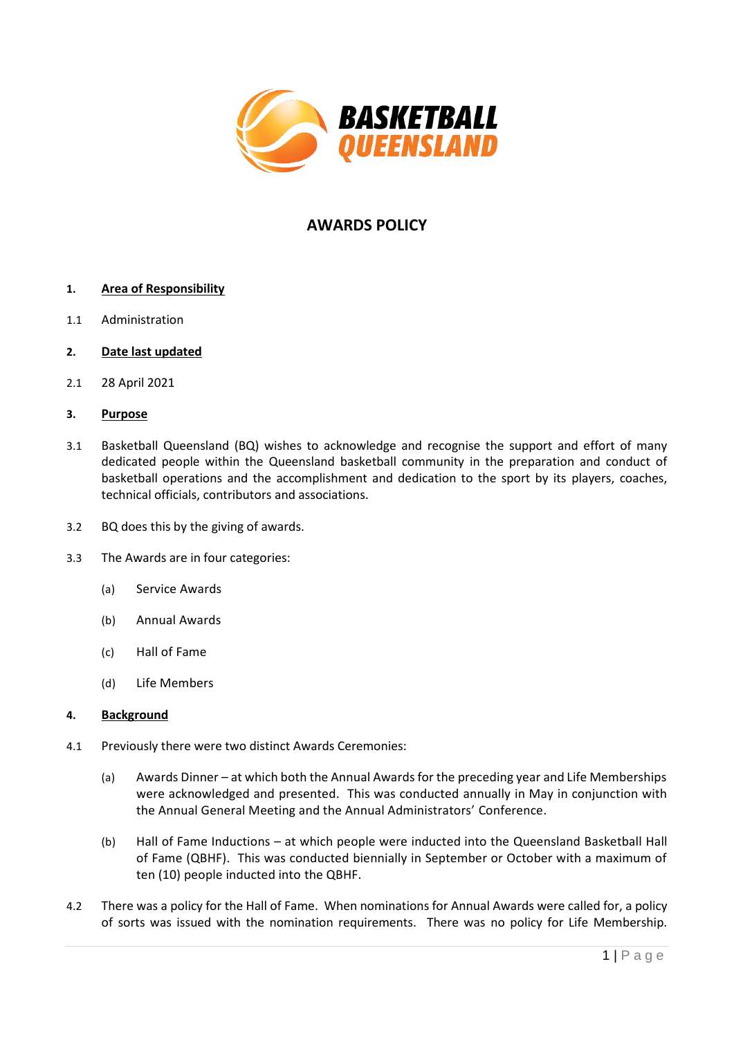

# **AWARDS POLICY**

# **1. Area of Responsibility**

- 1.1 Administration
- **2. Date last updated**
- 2.1 28 April 2021

### **3. Purpose**

- 3.1 Basketball Queensland (BQ) wishes to acknowledge and recognise the support and effort of many dedicated people within the Queensland basketball community in the preparation and conduct of basketball operations and the accomplishment and dedication to the sport by its players, coaches, technical officials, contributors and associations.
- 3.2 BQ does this by the giving of awards.
- 3.3 The Awards are in four categories:
	- (a) Service Awards
	- (b) Annual Awards
	- (c) Hall of Fame
	- (d) Life Members

#### **4. Background**

- 4.1 Previously there were two distinct Awards Ceremonies:
	- (a) Awards Dinner at which both the Annual Awards for the preceding year and Life Memberships were acknowledged and presented. This was conducted annually in May in conjunction with the Annual General Meeting and the Annual Administrators' Conference.
	- (b) Hall of Fame Inductions at which people were inducted into the Queensland Basketball Hall of Fame (QBHF). This was conducted biennially in September or October with a maximum of ten (10) people inducted into the QBHF.
- 4.2 There was a policy for the Hall of Fame. When nominations for Annual Awards were called for, a policy of sorts was issued with the nomination requirements. There was no policy for Life Membership.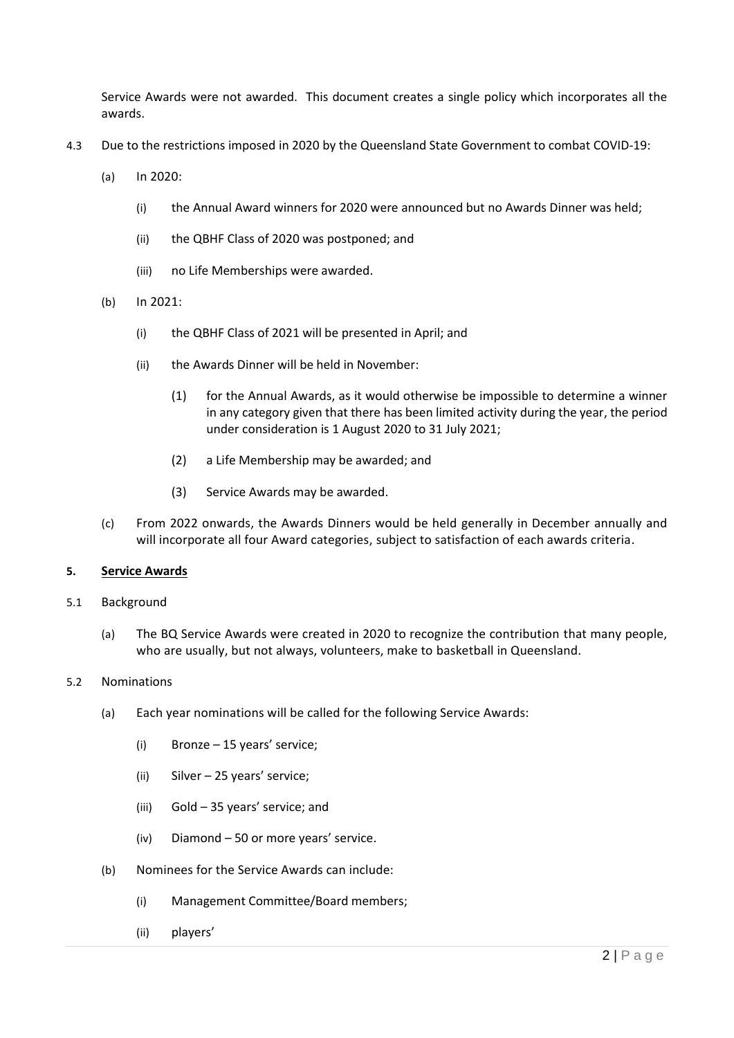Service Awards were not awarded. This document creates a single policy which incorporates all the awards.

- 4.3 Due to the restrictions imposed in 2020 by the Queensland State Government to combat COVID-19:
	- (a) In 2020:
		- (i) the Annual Award winners for 2020 were announced but no Awards Dinner was held;
		- (ii) the QBHF Class of 2020 was postponed; and
		- (iii) no Life Memberships were awarded.
	- (b) In 2021:
		- (i) the QBHF Class of 2021 will be presented in April; and
		- (ii) the Awards Dinner will be held in November:
			- (1) for the Annual Awards, as it would otherwise be impossible to determine a winner in any category given that there has been limited activity during the year, the period under consideration is 1 August 2020 to 31 July 2021;
			- (2) a Life Membership may be awarded; and
			- (3) Service Awards may be awarded.
	- (c) From 2022 onwards, the Awards Dinners would be held generally in December annually and will incorporate all four Award categories, subject to satisfaction of each awards criteria.

#### **5. Service Awards**

- 5.1 Background
	- (a) The BQ Service Awards were created in 2020 to recognize the contribution that many people, who are usually, but not always, volunteers, make to basketball in Queensland.

#### 5.2 Nominations

- (a) Each year nominations will be called for the following Service Awards:
	- (i) Bronze 15 years' service;
	- (ii) Silver 25 years' service;
	- (iii) Gold 35 years' service; and
	- (iv) Diamond 50 or more years' service.
- (b) Nominees for the Service Awards can include:
	- (i) Management Committee/Board members;
	- (ii) players'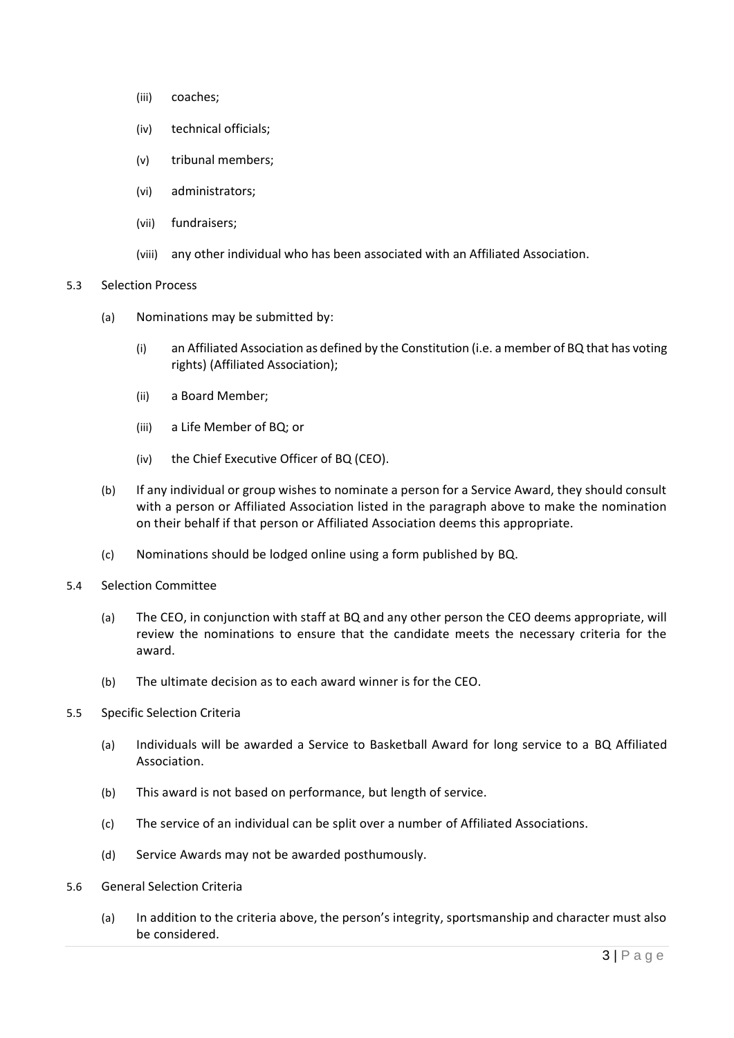- (iii) coaches;
- (iv) technical officials;
- (v) tribunal members;
- (vi) administrators;
- (vii) fundraisers;
- (viii) any other individual who has been associated with an Affiliated Association.

#### 5.3 Selection Process

- (a) Nominations may be submitted by:
	- (i) an Affiliated Association as defined by the Constitution (i.e. a member of BQ that has voting rights) (Affiliated Association);
	- (ii) a Board Member;
	- (iii) a Life Member of BQ; or
	- (iv) the Chief Executive Officer of BQ (CEO).
- (b) If any individual or group wishes to nominate a person for a Service Award, they should consult with a person or Affiliated Association listed in the paragraph above to make the nomination on their behalf if that person or Affiliated Association deems this appropriate.
- (c) Nominations should be lodged online using a form published by BQ.
- 5.4 Selection Committee
	- (a) The CEO, in conjunction with staff at BQ and any other person the CEO deems appropriate, will review the nominations to ensure that the candidate meets the necessary criteria for the award.
	- (b) The ultimate decision as to each award winner is for the CEO.
- 5.5 Specific Selection Criteria
	- (a) Individuals will be awarded a Service to Basketball Award for long service to a BQ Affiliated Association.
	- (b) This award is not based on performance, but length of service.
	- (c) The service of an individual can be split over a number of Affiliated Associations.
	- (d) Service Awards may not be awarded posthumously.
- 5.6 General Selection Criteria
	- (a) In addition to the criteria above, the person's integrity, sportsmanship and character must also be considered.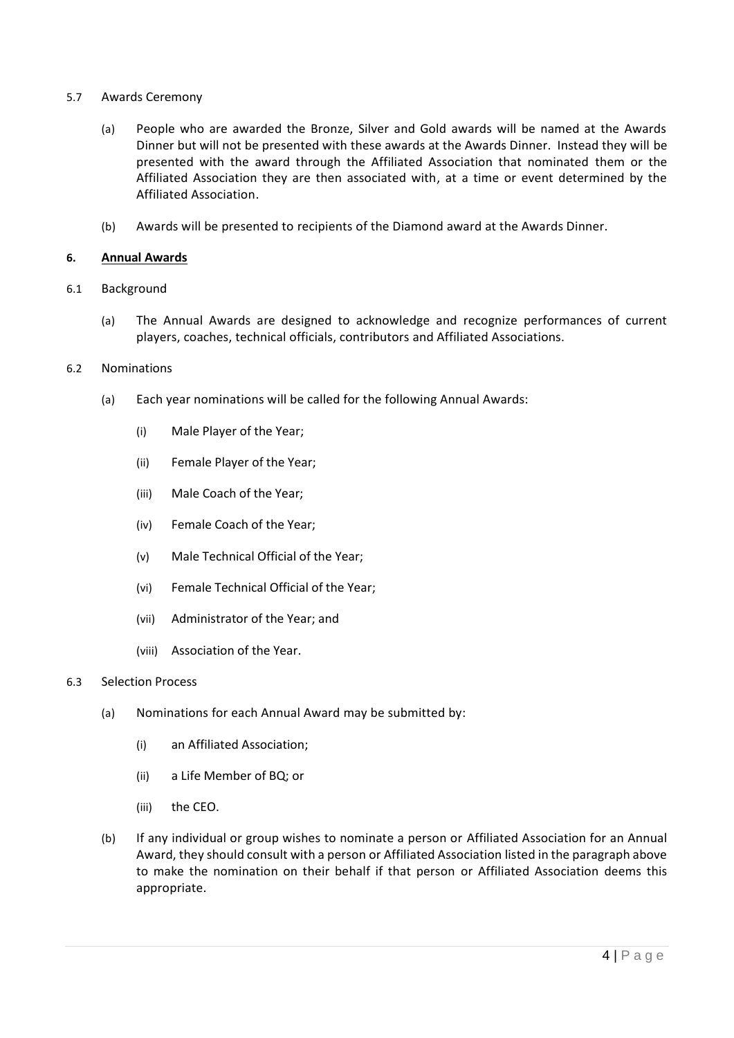- 5.7 Awards Ceremony
	- (a) People who are awarded the Bronze, Silver and Gold awards will be named at the Awards Dinner but will not be presented with these awards at the Awards Dinner. Instead they will be presented with the award through the Affiliated Association that nominated them or the Affiliated Association they are then associated with, at a time or event determined by the Affiliated Association.
	- (b) Awards will be presented to recipients of the Diamond award at the Awards Dinner.

### **6. Annual Awards**

- 6.1 Background
	- (a) The Annual Awards are designed to acknowledge and recognize performances of current players, coaches, technical officials, contributors and Affiliated Associations.
- 6.2 Nominations
	- (a) Each year nominations will be called for the following Annual Awards:
		- (i) Male Player of the Year;
		- (ii) Female Player of the Year;
		- (iii) Male Coach of the Year;
		- (iv) Female Coach of the Year;
		- (v) Male Technical Official of the Year;
		- (vi) Female Technical Official of the Year;
		- (vii) Administrator of the Year; and
		- (viii) Association of the Year.

#### 6.3 Selection Process

- (a) Nominations for each Annual Award may be submitted by:
	- (i) an Affiliated Association;
	- (ii) a Life Member of BQ; or
	- (iii) the CEO.
- (b) If any individual or group wishes to nominate a person or Affiliated Association for an Annual Award, they should consult with a person or Affiliated Association listed in the paragraph above to make the nomination on their behalf if that person or Affiliated Association deems this appropriate.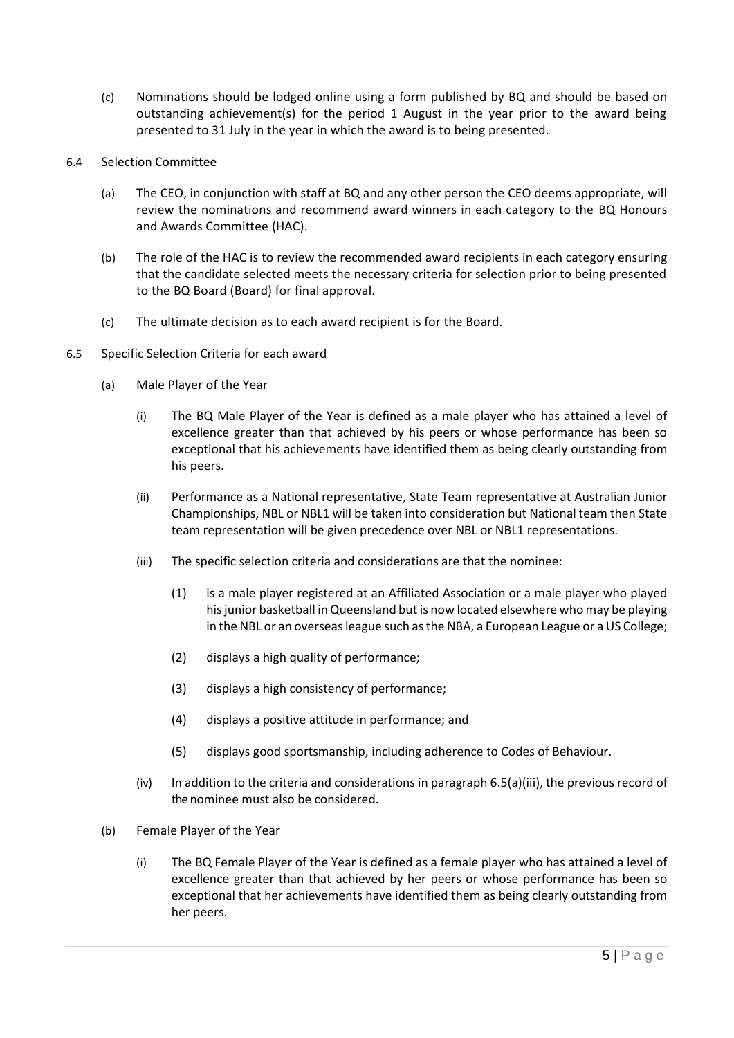- (c) Nominations should be lodged online using a form published by BQ and should be based on outstanding achievement(s) for the period 1 August in the year prior to the award being presented to 31 July in the year in which the award is to being presented.
- 6.4 Selection Committee
	- (a) The CEO, in conjunction with staff at BQ and any other person the CEO deems appropriate, will review the nominations and recommend award winners in each category to the BQ Honours and Awards Committee (HAC).
	- (b) The role of the HAC is to review the recommended award recipients in each category ensuring that the candidate selected meets the necessary criteria for selection prior to being presented to the BQ Board (Board) for final approval.
	- (c) The ultimate decision as to each award recipient is for the Board.
- <span id="page-4-0"></span>6.5 Specific Selection Criteria for each award
	- (a) Male Player of the Year
		- (i) The BQ Male Player of the Year is defined as a male player who has attained a level of excellence greater than that achieved by his peers or whose performance has been so exceptional that his achievements have identified them as being clearly outstanding from his peers.
		- (ii) Performance as a National representative, State Team representative at Australian Junior Championships, NBL or NBL1 will be taken into consideration but National team then State team representation will be given precedence over NBL or NBL1 representations.
		- (iii) The specific selection criteria and considerations are that the nominee:
			- (1) is a male player registered at an Affiliated Association or a male player who played his junior basketball in Queensland but is now located elsewhere who may be playing in the NBL or an overseas league such as the NBA, a European League or a US College;
			- (2) displays a high quality of performance;
			- (3) displays a high consistency of performance;
			- (4) displays a positive attitude in performance; and
			- (5) displays good sportsmanship, including adherence to Codes of Behaviour.
		- $(iv)$  In addition to the criteria and considerations in paragrap[h 6.5\(a\)\(iii\),](#page-4-0) the previous record of the nominee must also be considered.
	- (b) Female Player of the Year
		- (i) The BQ Female Player of the Year is defined as a female player who has attained a level of excellence greater than that achieved by her peers or whose performance has been so exceptional that her achievements have identified them as being clearly outstanding from her peers.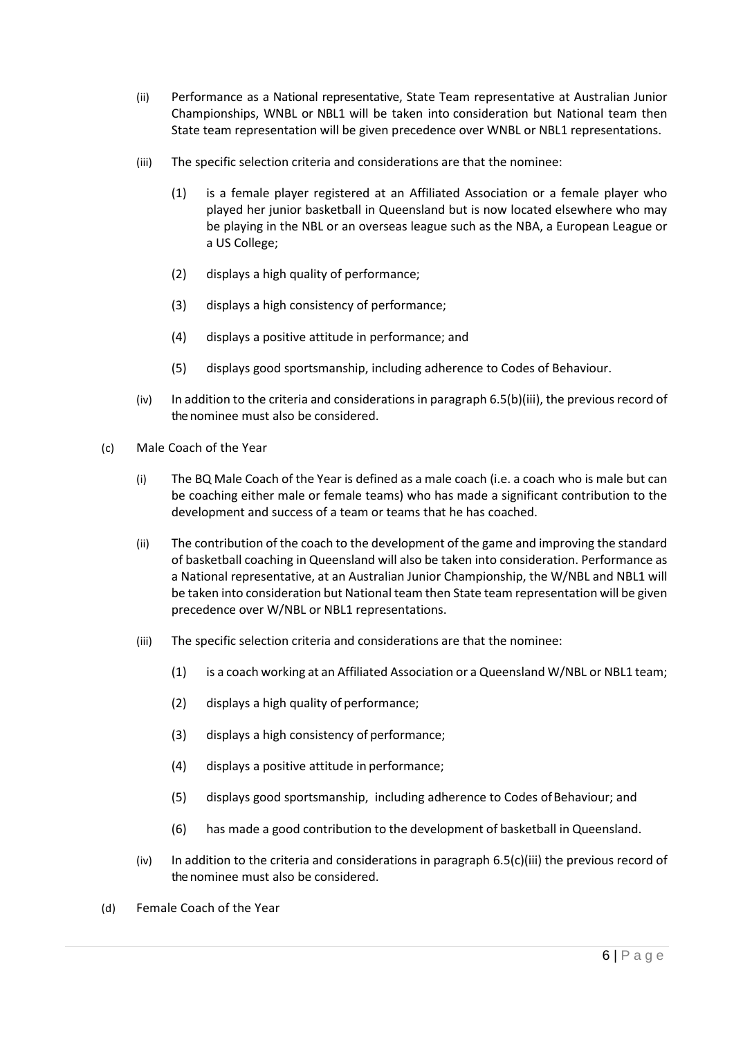- (ii) Performance as a National representative, State Team representative at Australian Junior Championships, WNBL or NBL1 will be taken into consideration but National team then State team representation will be given precedence over WNBL or NBL1 representations.
- <span id="page-5-0"></span>(iii) The specific selection criteria and considerations are that the nominee:
	- (1) is a female player registered at an Affiliated Association or a female player who played her junior basketball in Queensland but is now located elsewhere who may be playing in the NBL or an overseas league such as the NBA, a European League or a US College;
	- (2) displays a high quality of performance;
	- (3) displays a high consistency of performance;
	- (4) displays a positive attitude in performance; and
	- (5) displays good sportsmanship, including adherence to Codes of Behaviour.
- $(iv)$  In addition to the criteria and considerations in paragrap[h 6.5\(b\)\(iii\),](#page-5-0) the previous record of the nominee must also be considered.
- <span id="page-5-1"></span>(c) Male Coach of the Year
	- (i) The BQ Male Coach of the Year is defined as a male coach (i.e. a coach who is male but can be coaching either male or female teams) who has made a significant contribution to the development and success of a team or teams that he has coached.
	- (ii) The contribution of the coach to the development of the game and improving the standard of basketball coaching in Queensland will also be taken into consideration. Performance as a National representative, at an Australian Junior Championship, the W/NBL and NBL1 will be taken into consideration but National team then State team representation will be given precedence over W/NBL or NBL1 representations.
	- (iii) The specific selection criteria and considerations are that the nominee:
		- (1) is a coach working at an Affiliated Association or a Queensland W/NBL or NBL1 team;
		- (2) displays a high quality of performance;
		- (3) displays a high consistency of performance;
		- (4) displays a positive attitude in performance;
		- (5) displays good sportsmanship, including adherence to Codes ofBehaviour; and
		- (6) has made a good contribution to the development of basketball in Queensland.
	- (iv) In addition to the criteria and considerations in paragraph  $6.5(c)$ (iii) the previous record of the nominee must also be considered.
- (d) Female Coach of the Year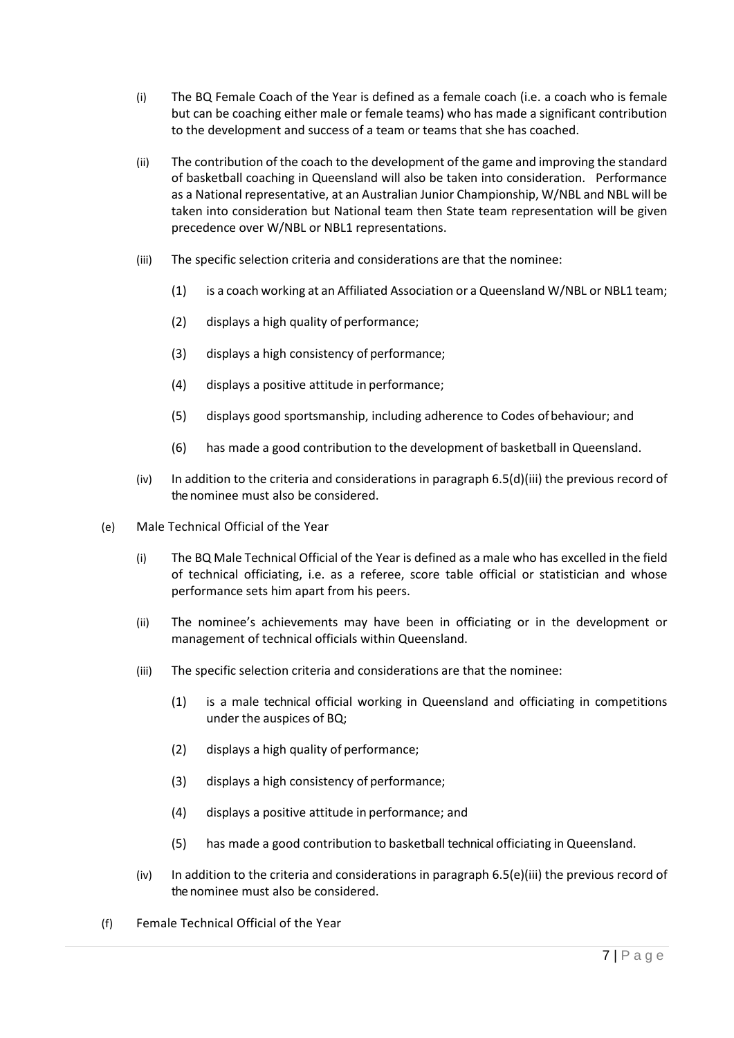- (i) The BQ Female Coach of the Year is defined as a female coach (i.e. a coach who is female but can be coaching either male or female teams) who has made a significant contribution to the development and success of a team or teams that she has coached.
- (ii) The contribution of the coach to the development of the game and improving the standard of basketball coaching in Queensland will also be taken into consideration. Performance as a National representative, at an Australian Junior Championship, W/NBL and NBL will be taken into consideration but National team then State team representation will be given precedence over W/NBL or NBL1 representations.
- <span id="page-6-0"></span>(iii) The specific selection criteria and considerations are that the nominee:
	- (1) is a coach working at an Affiliated Association or a Queensland W/NBL or NBL1 team;
	- (2) displays a high quality of performance;
	- (3) displays a high consistency of performance;
	- (4) displays a positive attitude in performance;
	- (5) displays good sportsmanship, including adherence to Codes ofbehaviour; and
	- (6) has made a good contribution to the development of basketball in Queensland.
- (iv) In addition to the criteria and considerations in paragraph [6.5\(d\)\(iii\)](#page-6-0) the previous record of the nominee must also be considered.
- <span id="page-6-1"></span>(e) Male Technical Official of the Year
	- (i) The BQ Male Technical Official of the Year is defined as a male who has excelled in the field of technical officiating, i.e. as a referee, score table official or statistician and whose performance sets him apart from his peers.
	- (ii) The nominee's achievements may have been in officiating or in the development or management of technical officials within Queensland.
	- (iii) The specific selection criteria and considerations are that the nominee:
		- (1) is a male technical official working in Queensland and officiating in competitions under the auspices of BQ;
		- (2) displays a high quality of performance;
		- (3) displays a high consistency of performance;
		- (4) displays a positive attitude in performance; and
		- (5) has made a good contribution to basketball technical officiating in Queensland.
	- (iv) In addition to the criteria and considerations in paragraph  $6.5(e)$ (iii) the previous record of the nominee must also be considered.
- (f) Female Technical Official of the Year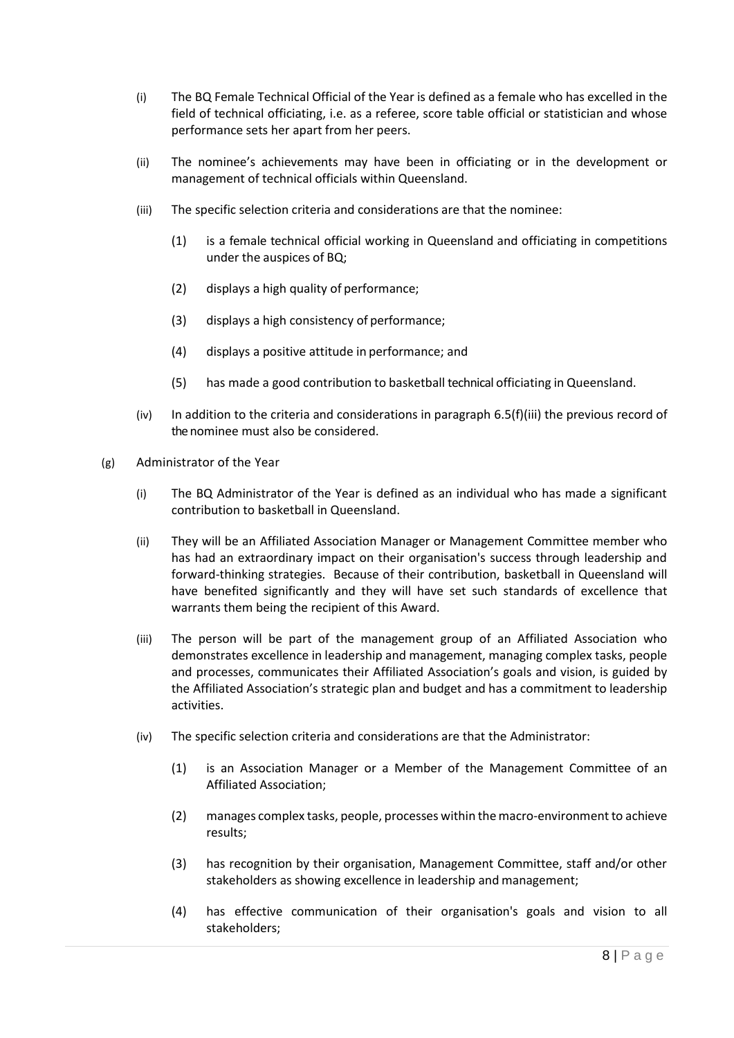- (i) The BQ Female Technical Official of the Year is defined as a female who has excelled in the field of technical officiating, i.e. as a referee, score table official or statistician and whose performance sets her apart from her peers.
- (ii) The nominee's achievements may have been in officiating or in the development or management of technical officials within Queensland.
- <span id="page-7-0"></span>(iii) The specific selection criteria and considerations are that the nominee:
	- (1) is a female technical official working in Queensland and officiating in competitions under the auspices of BQ;
	- (2) displays a high quality of performance;
	- (3) displays a high consistency of performance;
	- (4) displays a positive attitude in performance; and
	- (5) has made a good contribution to basketball technical officiating in Queensland.
- $(iv)$  In addition to the criteria and considerations in paragraph [6.5\(f\)\(iii\)](#page-7-0) the previous record of the nominee must also be considered.
- <span id="page-7-1"></span>(g) Administrator of the Year
	- (i) The BQ Administrator of the Year is defined as an individual who has made a significant contribution to basketball in Queensland.
	- (ii) They will be an Affiliated Association Manager or Management Committee member who has had an extraordinary impact on their organisation's success through leadership and forward-thinking strategies. Because of their contribution, basketball in Queensland will have benefited significantly and they will have set such standards of excellence that warrants them being the recipient of this Award.
	- (iii) The person will be part of the management group of an Affiliated Association who demonstrates excellence in leadership and management, managing complex tasks, people and processes, communicates their Affiliated Association's goals and vision, is guided by the Affiliated Association's strategic plan and budget and has a commitment to leadership activities.
	- (iv) The specific selection criteria and considerations are that the Administrator:
		- (1) is an Association Manager or a Member of the Management Committee of an Affiliated Association;
		- (2) manages complex tasks, people, processes within themacro-environment to achieve results;
		- (3) has recognition by their organisation, Management Committee, staff and/or other stakeholders as showing excellence in leadership and management;
		- (4) has effective communication of their organisation's goals and vision to all stakeholders;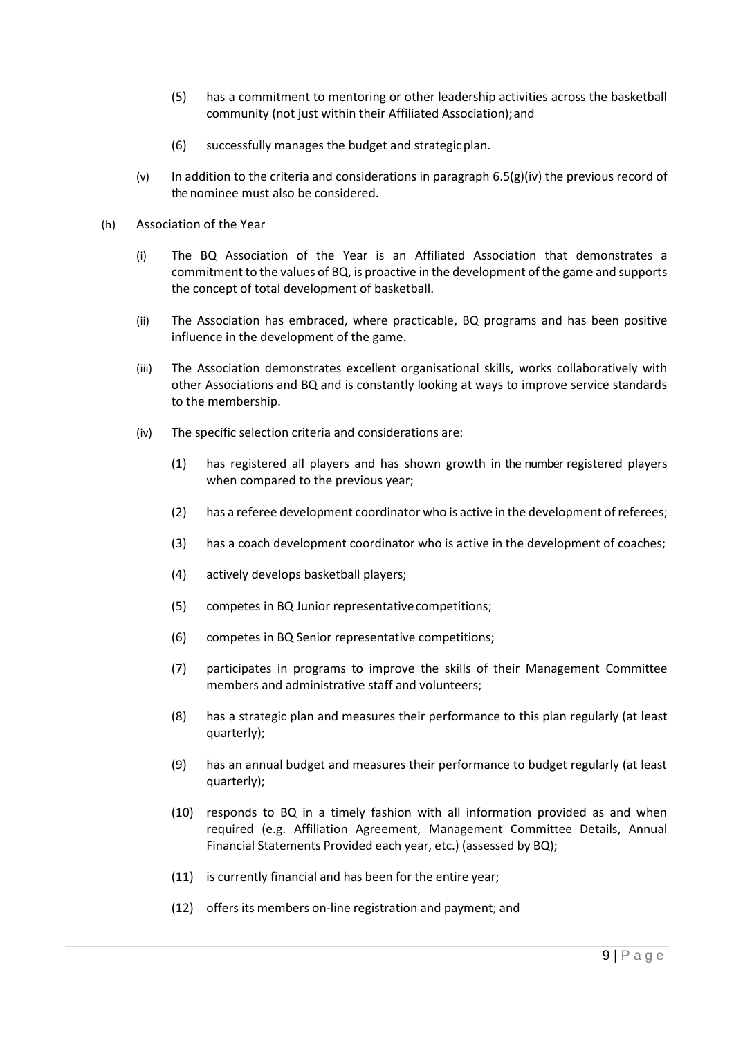- (5) has a commitment to mentoring or other leadership activities across the basketball community (not just within their Affiliated Association);and
- (6) successfully manages the budget and strategicplan.
- (v) In addition to the criteria and considerations in paragraph  $6.5(g)(iv)$  the previous record of the nominee must also be considered.
- (h) Association of the Year
	- (i) The BQ Association of the Year is an Affiliated Association that demonstrates a commitment to the values of BQ, is proactive in the development of the game and supports the concept of total development of basketball.
	- (ii) The Association has embraced, where practicable, BQ programs and has been positive influence in the development of the game.
	- (iii) The Association demonstrates excellent organisational skills, works collaboratively with other Associations and BQ and is constantly looking at ways to improve service standards to the membership.
	- (iv) The specific selection criteria and considerations are:
		- (1) has registered all players and has shown growth in the number registered players when compared to the previous year;
		- (2) has a referee development coordinator who is active in the development of referees;
		- (3) has a coach development coordinator who is active in the development of coaches;
		- (4) actively develops basketball players;
		- (5) competes in BQ Junior representativecompetitions;
		- (6) competes in BQ Senior representative competitions;
		- (7) participates in programs to improve the skills of their Management Committee members and administrative staff and volunteers;
		- (8) has a strategic plan and measures their performance to this plan regularly (at least quarterly);
		- (9) has an annual budget and measures their performance to budget regularly (at least quarterly);
		- (10) responds to BQ in a timely fashion with all information provided as and when required (e.g. Affiliation Agreement, Management Committee Details, Annual Financial Statements Provided each year, etc.) (assessed by BQ);
		- (11) is currently financial and has been for the entire year;
		- (12) offers its members on-line registration and payment; and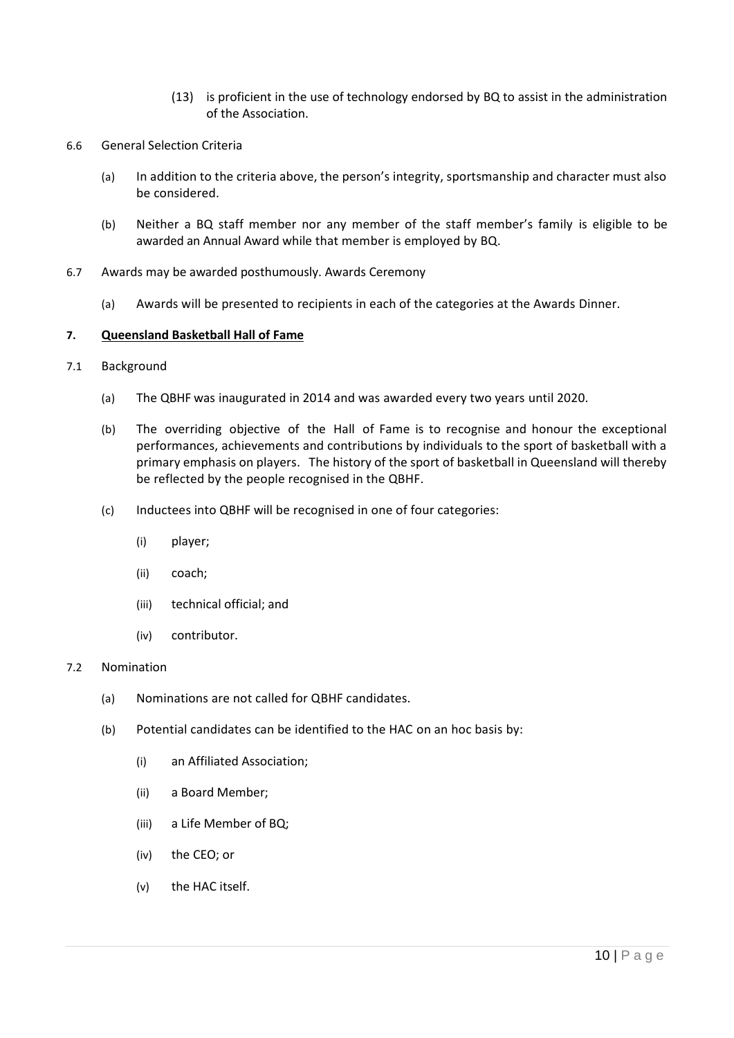- (13) is proficient in the use of technology endorsed by BQ to assist in the administration of the Association.
- 6.6 General Selection Criteria
	- (a) In addition to the criteria above, the person's integrity, sportsmanship and character must also be considered.
	- (b) Neither a BQ staff member nor any member of the staff member's family is eligible to be awarded an Annual Award while that member is employed by BQ.
- 6.7 Awards may be awarded posthumously. Awards Ceremony
	- (a) Awards will be presented to recipients in each of the categories at the Awards Dinner.

### **7. Queensland Basketball Hall of Fame**

- 7.1 Background
	- (a) The QBHF was inaugurated in 2014 and was awarded every two years until 2020.
	- (b) The overriding objective of the Hall of Fame is to recognise and honour the exceptional performances, achievements and contributions by individuals to the sport of basketball with a primary emphasis on players. The history of the sport of basketball in Queensland will thereby be reflected by the people recognised in the QBHF.
	- (c) Inductees into QBHF will be recognised in one of four categories:
		- (i) player;
		- (ii) coach;
		- (iii) technical official; and
		- (iv) contributor.

#### 7.2 Nomination

- (a) Nominations are not called for QBHF candidates.
- (b) Potential candidates can be identified to the HAC on an hoc basis by:
	- (i) an Affiliated Association;
	- (ii) a Board Member;
	- (iii) a Life Member of BQ;
	- (iv) the CEO; or
	- (v) the HAC itself.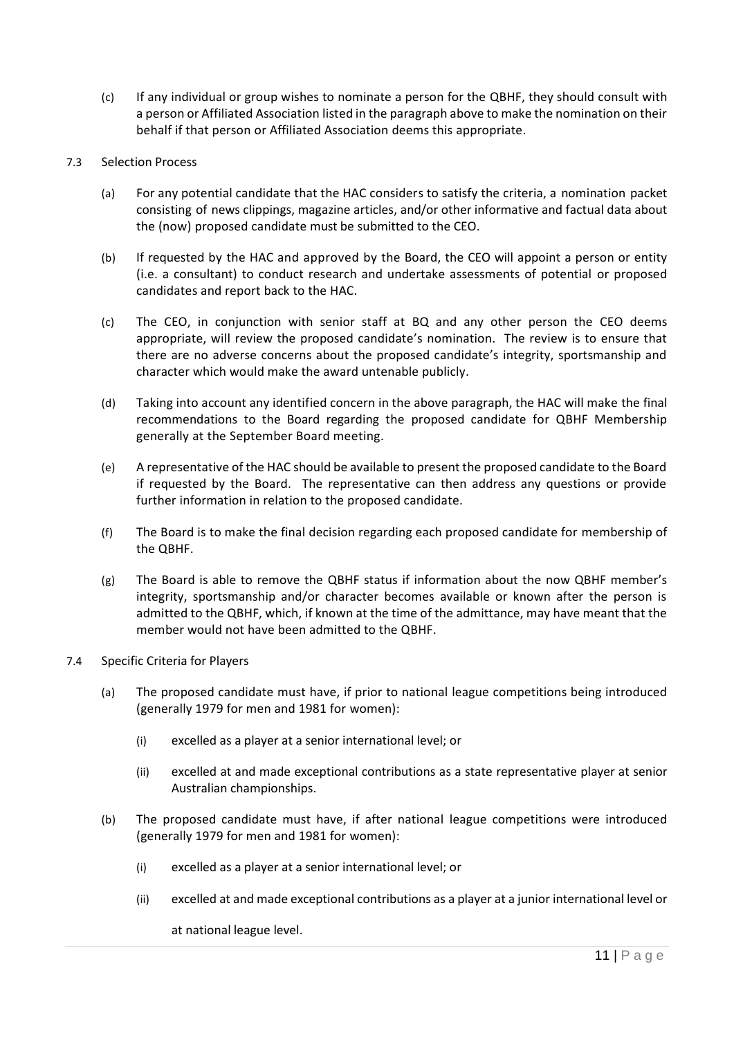(c) If any individual or group wishes to nominate a person for the QBHF, they should consult with a person or Affiliated Association listed in the paragraph above to make the nomination on their behalf if that person or Affiliated Association deems this appropriate.

# 7.3 Selection Process

- (a) For any potential candidate that the HAC considers to satisfy the criteria, a nomination packet consisting of news clippings, magazine articles, and/or other informative and factual data about the (now) proposed candidate must be submitted to the CEO.
- (b) If requested by the HAC and approved by the Board, the CEO will appoint a person or entity (i.e. a consultant) to conduct research and undertake assessments of potential or proposed candidates and report back to the HAC.
- (c) The CEO, in conjunction with senior staff at BQ and any other person the CEO deems appropriate, will review the proposed candidate's nomination. The review is to ensure that there are no adverse concerns about the proposed candidate's integrity, sportsmanship and character which would make the award untenable publicly.
- (d) Taking into account any identified concern in the above paragraph, the HAC will make the final recommendations to the Board regarding the proposed candidate for QBHF Membership generally at the September Board meeting.
- (e) A representative of the HAC should be available to present the proposed candidate to the Board if requested by the Board. The representative can then address any questions or provide further information in relation to the proposed candidate.
- (f) The Board is to make the final decision regarding each proposed candidate for membership of the QBHF.
- (g) The Board is able to remove the QBHF status if information about the now QBHF member's integrity, sportsmanship and/or character becomes available or known after the person is admitted to the QBHF, which, if known at the time of the admittance, may have meant that the member would not have been admitted to the QBHF.
- 7.4 Specific Criteria for Players
	- (a) The proposed candidate must have, if prior to national league competitions being introduced (generally 1979 for men and 1981 for women):
		- (i) excelled as a player at a senior international level; or
		- (ii) excelled at and made exceptional contributions as a state representative player at senior Australian championships.
	- (b) The proposed candidate must have, if after national league competitions were introduced (generally 1979 for men and 1981 for women):
		- (i) excelled as a player at a senior international level; or
		- (ii) excelled at and made exceptional contributions as a player at a junior international level or

at national league level.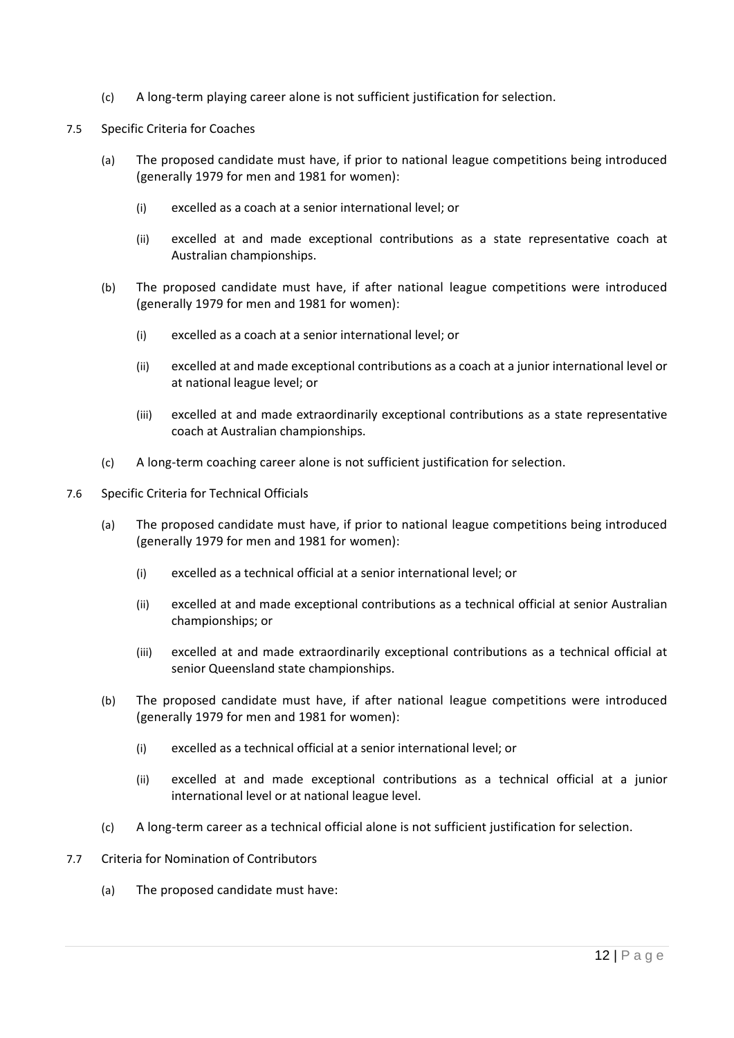- (c) A long-term playing career alone is not sufficient justification for selection.
- 7.5 Specific Criteria for Coaches
	- (a) The proposed candidate must have, if prior to national league competitions being introduced (generally 1979 for men and 1981 for women):
		- (i) excelled as a coach at a senior international level; or
		- (ii) excelled at and made exceptional contributions as a state representative coach at Australian championships.
	- (b) The proposed candidate must have, if after national league competitions were introduced (generally 1979 for men and 1981 for women):
		- (i) excelled as a coach at a senior international level; or
		- (ii) excelled at and made exceptional contributions as a coach at a junior international level or at national league level; or
		- (iii) excelled at and made extraordinarily exceptional contributions as a state representative coach at Australian championships.
	- (c) A long-term coaching career alone is not sufficient justification for selection.
- 7.6 Specific Criteria for Technical Officials
	- (a) The proposed candidate must have, if prior to national league competitions being introduced (generally 1979 for men and 1981 for women):
		- (i) excelled as a technical official at a senior international level; or
		- (ii) excelled at and made exceptional contributions as a technical official at senior Australian championships; or
		- (iii) excelled at and made extraordinarily exceptional contributions as a technical official at senior Queensland state championships.
	- (b) The proposed candidate must have, if after national league competitions were introduced (generally 1979 for men and 1981 for women):
		- (i) excelled as a technical official at a senior international level; or
		- (ii) excelled at and made exceptional contributions as a technical official at a junior international level or at national league level.
	- (c) A long-term career as a technical official alone is not sufficient justification for selection.
- 7.7 Criteria for Nomination of Contributors
	- (a) The proposed candidate must have: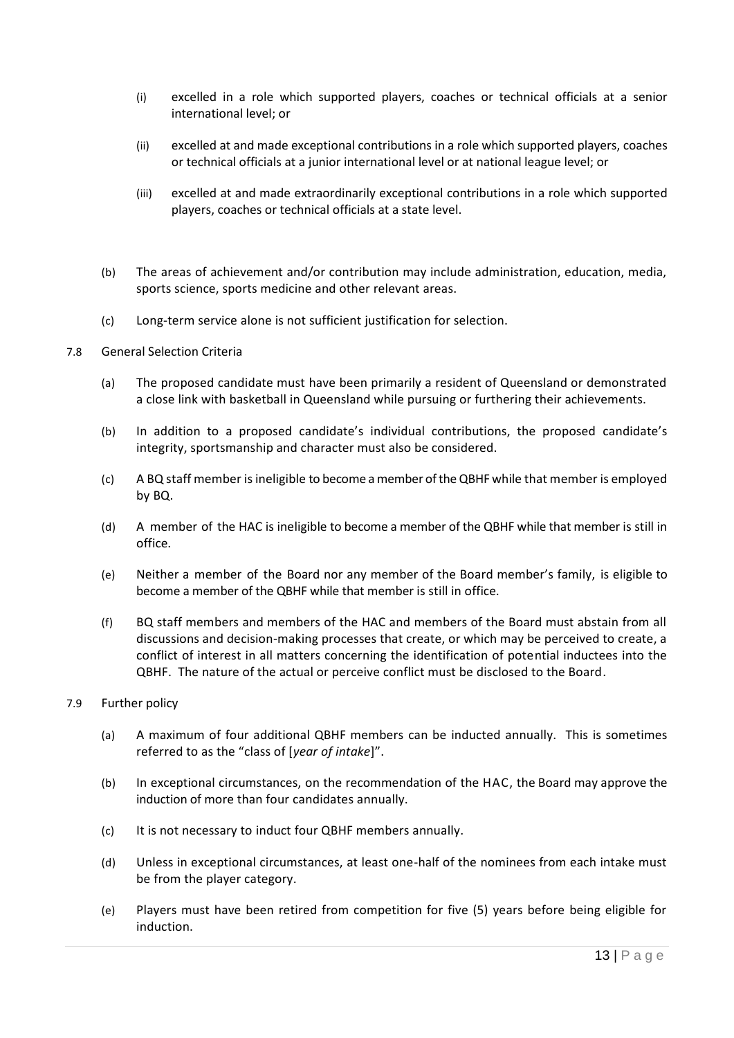- (i) excelled in a role which supported players, coaches or technical officials at a senior international level; or
- (ii) excelled at and made exceptional contributions in a role which supported players, coaches or technical officials at a junior international level or at national league level; or
- (iii) excelled at and made extraordinarily exceptional contributions in a role which supported players, coaches or technical officials at a state level.
- (b) The areas of achievement and/or contribution may include administration, education, media, sports science, sports medicine and other relevant areas.
- (c) Long-term service alone is not sufficient justification for selection.
- 7.8 General Selection Criteria
	- (a) The proposed candidate must have been primarily a resident of Queensland or demonstrated a close link with basketball in Queensland while pursuing or furthering their achievements.
	- (b) In addition to a proposed candidate's individual contributions, the proposed candidate's integrity, sportsmanship and character must also be considered.
	- (c) A BQ staff member is ineligible to become a member of the QBHF while that member is employed by BQ.
	- (d) A member of the HAC is ineligible to become a member of the QBHF while that member is still in office.
	- (e) Neither a member of the Board nor any member of the Board member's family, is eligible to become a member of the QBHF while that member is still in office.
	- (f) BQ staff members and members of the HAC and members of the Board must abstain from all discussions and decision-making processes that create, or which may be perceived to create, a conflict of interest in all matters concerning the identification of potential inductees into the QBHF. The nature of the actual or perceive conflict must be disclosed to the Board.
- 7.9 Further policy
	- (a) A maximum of four additional QBHF members can be inducted annually. This is sometimes referred to as the "class of [*year of intake*]".
	- (b) In exceptional circumstances, on the recommendation of the HAC, the Board may approve the induction of more than four candidates annually.
	- (c) It is not necessary to induct four QBHF members annually.
	- (d) Unless in exceptional circumstances, at least one-half of the nominees from each intake must be from the player category.
	- (e) Players must have been retired from competition for five (5) years before being eligible for induction.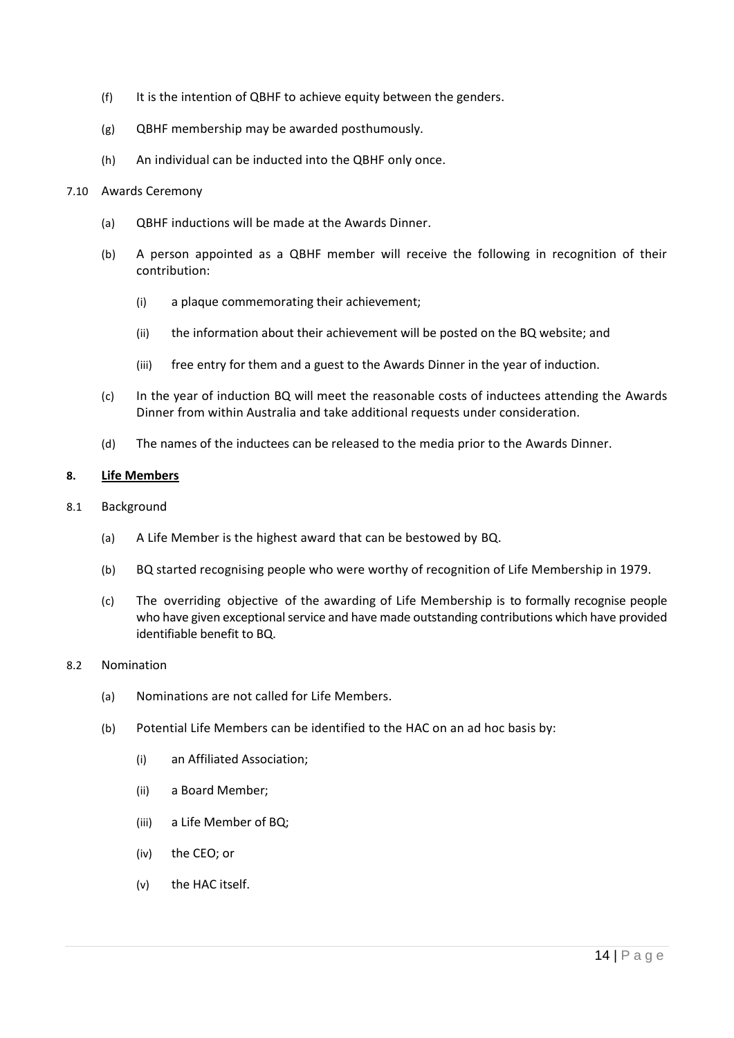- (f) It is the intention of QBHF to achieve equity between the genders.
- (g) QBHF membership may be awarded posthumously.
- (h) An individual can be inducted into the QBHF only once.

### 7.10 Awards Ceremony

- (a) QBHF inductions will be made at the Awards Dinner.
- (b) A person appointed as a QBHF member will receive the following in recognition of their contribution:
	- (i) a plaque commemorating their achievement;
	- (ii) the information about their achievement will be posted on the BQ website; and
	- (iii) free entry for them and a guest to the Awards Dinner in the year of induction.
- (c) In the year of induction BQ will meet the reasonable costs of inductees attending the Awards Dinner from within Australia and take additional requests under consideration.
- (d) The names of the inductees can be released to the media prior to the Awards Dinner.

# **8. Life Members**

- 8.1 Background
	- (a) A Life Member is the highest award that can be bestowed by BQ.
	- (b) BQ started recognising people who were worthy of recognition of Life Membership in 1979.
	- (c) The overriding objective of the awarding of Life Membership is to formally recognise people who have given exceptional service and have made outstanding contributions which have provided identifiable benefit to BQ.

# 8.2 Nomination

- (a) Nominations are not called for Life Members.
- (b) Potential Life Members can be identified to the HAC on an ad hoc basis by:
	- (i) an Affiliated Association;
	- (ii) a Board Member;
	- (iii) a Life Member of BQ;
	- (iv) the CEO; or
	- (v) the HAC itself.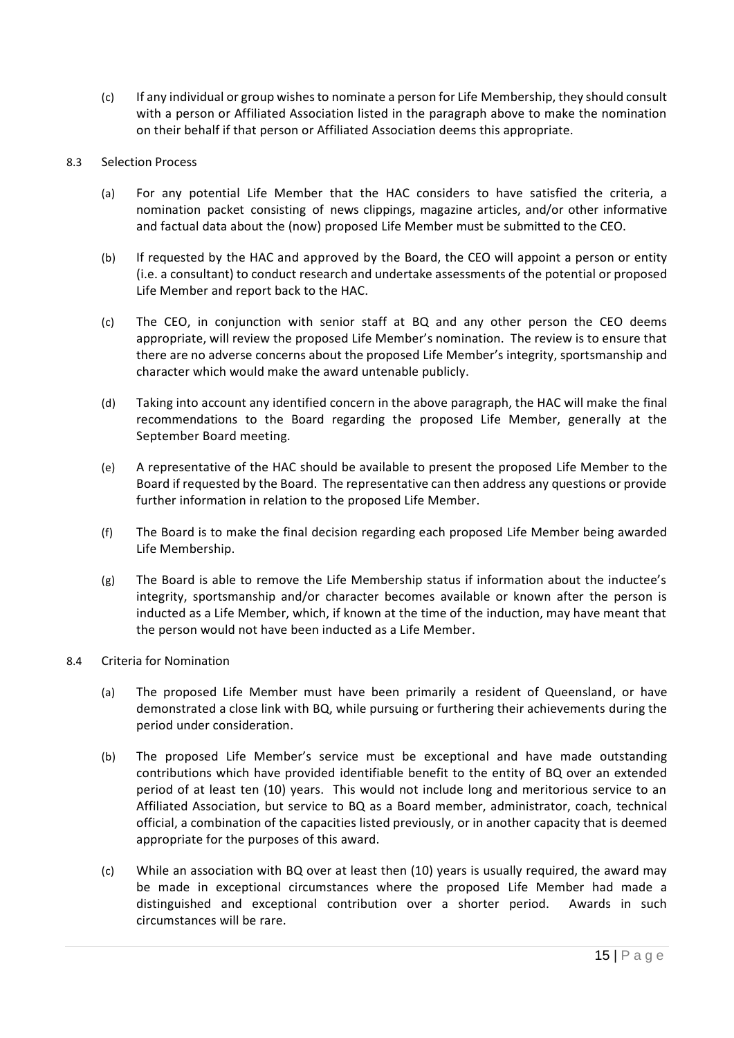(c) If any individual or group wishes to nominate a person for Life Membership, they should consult with a person or Affiliated Association listed in the paragraph above to make the nomination on their behalf if that person or Affiliated Association deems this appropriate.

# 8.3 Selection Process

- (a) For any potential Life Member that the HAC considers to have satisfied the criteria, a nomination packet consisting of news clippings, magazine articles, and/or other informative and factual data about the (now) proposed Life Member must be submitted to the CEO.
- (b) If requested by the HAC and approved by the Board, the CEO will appoint a person or entity (i.e. a consultant) to conduct research and undertake assessments of the potential or proposed Life Member and report back to the HAC.
- (c) The CEO, in conjunction with senior staff at BQ and any other person the CEO deems appropriate, will review the proposed Life Member's nomination. The review is to ensure that there are no adverse concerns about the proposed Life Member's integrity, sportsmanship and character which would make the award untenable publicly.
- (d) Taking into account any identified concern in the above paragraph, the HAC will make the final recommendations to the Board regarding the proposed Life Member, generally at the September Board meeting.
- (e) A representative of the HAC should be available to present the proposed Life Member to the Board if requested by the Board. The representative can then address any questions or provide further information in relation to the proposed Life Member.
- (f) The Board is to make the final decision regarding each proposed Life Member being awarded Life Membership.
- (g) The Board is able to remove the Life Membership status if information about the inductee's integrity, sportsmanship and/or character becomes available or known after the person is inducted as a Life Member, which, if known at the time of the induction, may have meant that the person would not have been inducted as a Life Member.
- 8.4 Criteria for Nomination
	- (a) The proposed Life Member must have been primarily a resident of Queensland, or have demonstrated a close link with BQ, while pursuing or furthering their achievements during the period under consideration.
	- (b) The proposed Life Member's service must be exceptional and have made outstanding contributions which have provided identifiable benefit to the entity of BQ over an extended period of at least ten (10) years. This would not include long and meritorious service to an Affiliated Association, but service to BQ as a Board member, administrator, coach, technical official, a combination of the capacities listed previously, or in another capacity that is deemed appropriate for the purposes of this award.
	- (c) While an association with BQ over at least then (10) years is usually required, the award may be made in exceptional circumstances where the proposed Life Member had made a distinguished and exceptional contribution over a shorter period. Awards in such circumstances will be rare.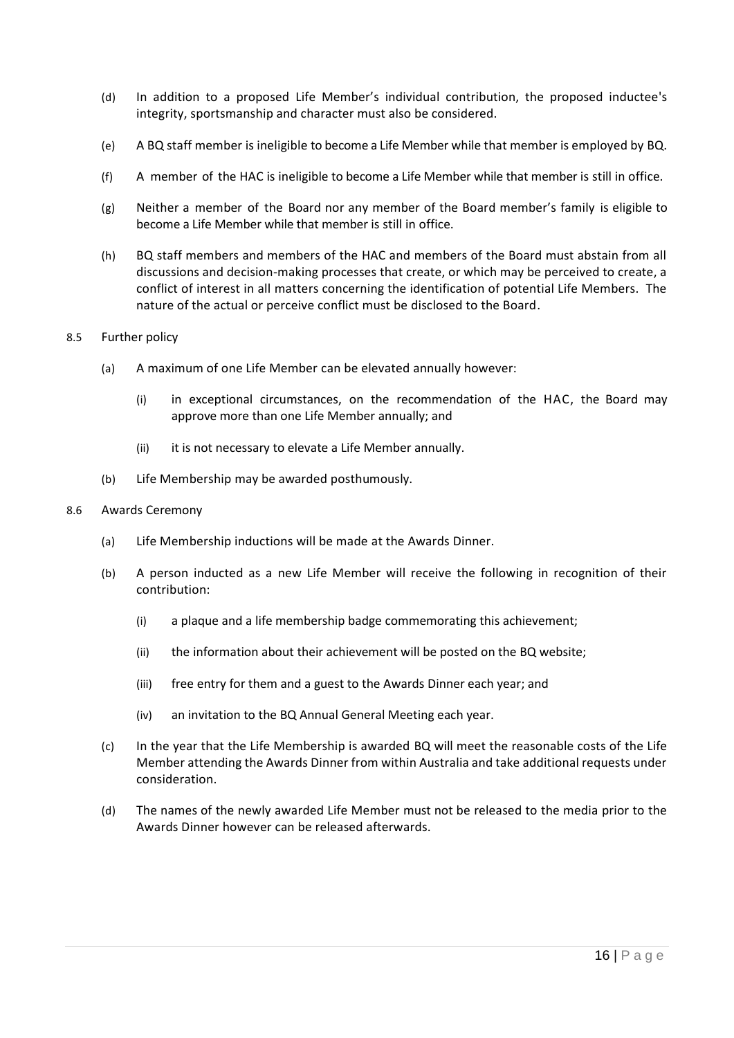- (d) In addition to a proposed Life Member's individual contribution, the proposed inductee's integrity, sportsmanship and character must also be considered.
- (e) A BQ staff member is ineligible to become a Life Member while that member is employed by BQ.
- (f) A member of the HAC is ineligible to become a Life Member while that member is still in office.
- (g) Neither a member of the Board nor any member of the Board member's family is eligible to become a Life Member while that member is still in office.
- (h) BQ staff members and members of the HAC and members of the Board must abstain from all discussions and decision-making processes that create, or which may be perceived to create, a conflict of interest in all matters concerning the identification of potential Life Members. The nature of the actual or perceive conflict must be disclosed to the Board.

### 8.5 Further policy

- (a) A maximum of one Life Member can be elevated annually however:
	- (i) in exceptional circumstances, on the recommendation of the HAC, the Board may approve more than one Life Member annually; and
	- (ii) it is not necessary to elevate a Life Member annually.
- (b) Life Membership may be awarded posthumously.

#### 8.6 Awards Ceremony

- (a) Life Membership inductions will be made at the Awards Dinner.
- (b) A person inducted as a new Life Member will receive the following in recognition of their contribution:
	- (i) a plaque and a life membership badge commemorating this achievement;
	- (ii) the information about their achievement will be posted on the BQ website;
	- (iii) free entry for them and a guest to the Awards Dinner each year; and
	- (iv) an invitation to the BQ Annual General Meeting each year.
- (c) In the year that the Life Membership is awarded BQ will meet the reasonable costs of the Life Member attending the Awards Dinner from within Australia and take additional requests under consideration.
- (d) The names of the newly awarded Life Member must not be released to the media prior to the Awards Dinner however can be released afterwards.